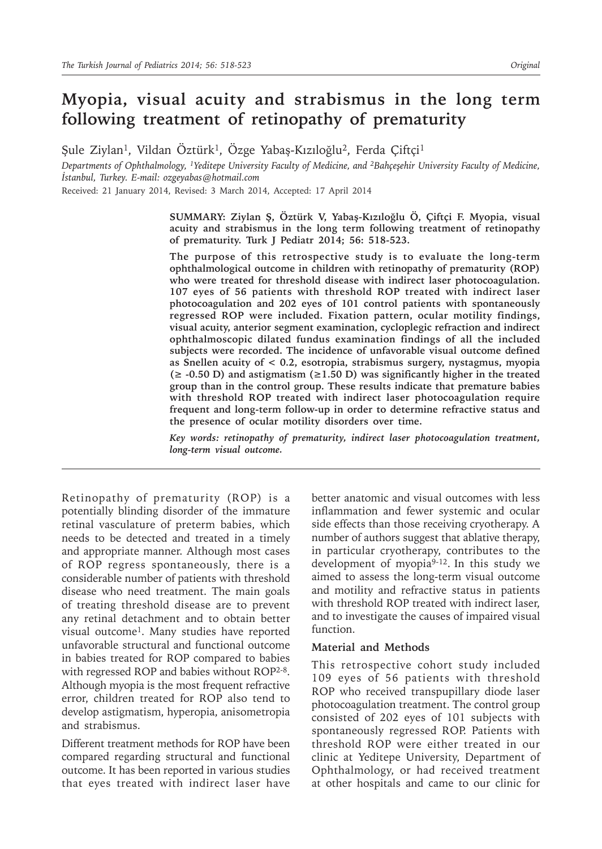# **Myopia, visual acuity and strabismus in the long term following treatment of retinopathy of prematurity**

Şule Ziylan<sup>1</sup>, Vildan Öztürk<sup>1</sup>, Özge Yabaş-Kızıloğlu<sup>2</sup>, Ferda Çiftçi<sup>1</sup>

*Departments of Ophthalmology, 1Yeditepe University Faculty of Medicine, and 2Bahçeşehir University Faculty of Medicine, İstanbul, Turkey. E-mail: ozgeyabas@hotmail.com*

Received: 21 January 2014, Revised: 3 March 2014, Accepted: 17 April 2014

**SUMMARY: Ziylan Ş, Öztürk V, Yabaş-Kızıloğlu Ö, Çiftçi F. Myopia, visual acuity and strabismus in the long term following treatment of retinopathy of prematurity. Turk J Pediatr 2014; 56: 518-523.**

**The purpose of this retrospective study is to evaluate the long-term ophthalmological outcome in children with retinopathy of prematurity (ROP) who were treated for threshold disease with indirect laser photocoagulation. 107 eyes of 56 patients with threshold ROP treated with indirect laser photocoagulation and 202 eyes of 101 control patients with spontaneously regressed ROP were included. Fixation pattern, ocular motility findings, visual acuity, anterior segment examination, cycloplegic refraction and indirect ophthalmoscopic dilated fundus examination findings of all the included subjects were recorded. The incidence of unfavorable visual outcome defined as Snellen acuity of < 0.2, esotropia, strabismus surgery, nystagmus, myopia (≥ -0.50 D) and astigmatism (≥1.50 D) was significantly higher in the treated group than in the control group. These results indicate that premature babies with threshold ROP treated with indirect laser photocoagulation require frequent and long-term follow-up in order to determine refractive status and the presence of ocular motility disorders over time.**

*Key words: retinopathy of prematurity, indirect laser photocoagulation treatment, long-term visual outcome.*

Retinopathy of prematurity (ROP) is a potentially blinding disorder of the immature retinal vasculature of preterm babies, which needs to be detected and treated in a timely and appropriate manner. Although most cases of ROP regress spontaneously, there is a considerable number of patients with threshold disease who need treatment. The main goals of treating threshold disease are to prevent any retinal detachment and to obtain better visual outcome1. Many studies have reported unfavorable structural and functional outcome in babies treated for ROP compared to babies with regressed ROP and babies without ROP2-8. Although myopia is the most frequent refractive error, children treated for ROP also tend to develop astigmatism, hyperopia, anisometropia and strabismus.

Different treatment methods for ROP have been compared regarding structural and functional outcome. It has been reported in various studies that eyes treated with indirect laser have

better anatomic and visual outcomes with less inflammation and fewer systemic and ocular side effects than those receiving cryotherapy. A number of authors suggest that ablative therapy, in particular cryotherapy, contributes to the development of myopia<sup>9-12</sup>. In this study we aimed to assess the long-term visual outcome and motility and refractive status in patients with threshold ROP treated with indirect laser, and to investigate the causes of impaired visual function.

### **Material and Methods**

This retrospective cohort study included 109 eyes of 56 patients with threshold ROP who received transpupillary diode laser photocoagulation treatment. The control group consisted of 202 eyes of 101 subjects with spontaneously regressed ROP. Patients with threshold ROP were either treated in our clinic at Yeditepe University, Department of Ophthalmology, or had received treatment at other hospitals and came to our clinic for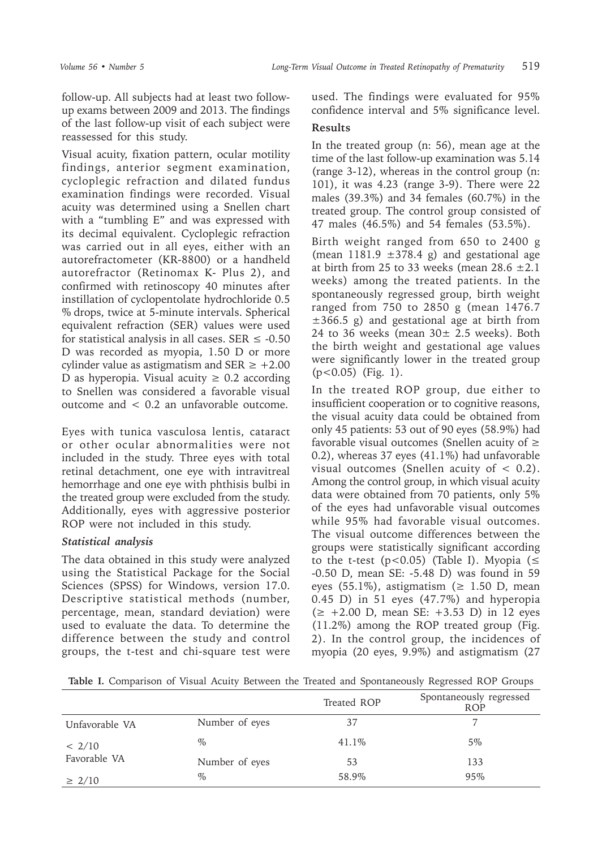follow-up. All subjects had at least two followup exams between 2009 and 2013. The findings of the last follow-up visit of each subject were reassessed for this study.

Visual acuity, fixation pattern, ocular motility findings, anterior segment examination, cycloplegic refraction and dilated fundus examination findings were recorded. Visual acuity was determined using a Snellen chart with a "tumbling E" and was expressed with its decimal equivalent. Cycloplegic refraction was carried out in all eyes, either with an autorefractometer (KR-8800) or a handheld autorefractor (Retinomax K- Plus 2), and confirmed with retinoscopy 40 minutes after instillation of cyclopentolate hydrochloride 0.5 % drops, twice at 5-minute intervals. Spherical equivalent refraction (SER) values were used for statistical analysis in all cases. SER  $\leq$  -0.50 D was recorded as myopia, 1.50 D or more cylinder value as astigmatism and SER  $\ge$  +2.00 D as hyperopia. Visual acuity  $\geq 0.2$  according to Snellen was considered a favorable visual outcome and < 0.2 an unfavorable outcome.

Eyes with tunica vasculosa lentis, cataract or other ocular abnormalities were not included in the study. Three eyes with total retinal detachment, one eye with intravitreal hemorrhage and one eye with phthisis bulbi in the treated group were excluded from the study. Additionally, eyes with aggressive posterior ROP were not included in this study.

## *Statistical analysis*

The data obtained in this study were analyzed using the Statistical Package for the Social Sciences (SPSS) for Windows, version 17.0. Descriptive statistical methods (number, percentage, mean, standard deviation) were used to evaluate the data. To determine the difference between the study and control groups, the t-test and chi-square test were used. The findings were evaluated for 95% confidence interval and 5% significance level.

## **Results**

In the treated group (n: 56), mean age at the time of the last follow-up examination was 5.14 (range 3-12), whereas in the control group (n: 101), it was 4.23 (range 3-9). There were 22 males (39.3%) and 34 females (60.7%) in the treated group. The control group consisted of 47 males (46.5%) and 54 females (53.5%).

Birth weight ranged from 650 to 2400 g (mean  $1181.9 \pm 378.4$  g) and gestational age at birth from 25 to 33 weeks (mean  $28.6 \pm 2.1$ ) weeks) among the treated patients. In the spontaneously regressed group, birth weight ranged from 750 to 2850 g (mean 1476.7  $\pm 366.5$  g) and gestational age at birth from 24 to 36 weeks (mean  $30 \pm 2.5$  weeks). Both the birth weight and gestational age values were significantly lower in the treated group  $(p<0.05)$  (Fig. 1).

In the treated ROP group, due either to insufficient cooperation or to cognitive reasons, the visual acuity data could be obtained from only 45 patients: 53 out of 90 eyes (58.9%) had favorable visual outcomes (Snellen acuity of  $\geq$ 0.2), whereas 37 eyes (41.1%) had unfavorable visual outcomes (Snellen acuity of < 0.2). Among the control group, in which visual acuity data were obtained from 70 patients, only 5% of the eyes had unfavorable visual outcomes while 95% had favorable visual outcomes. The visual outcome differences between the groups were statistically significant according to the t-test ( $p < 0.05$ ) (Table I). Myopia ( $\le$ -0.50 D, mean SE: -5.48 D) was found in 59 eyes (55.1%), astigmatism ( $\geq$  1.50 D, mean 0.45 D) in 51 eyes (47.7%) and hyperopia (≥ +2.00 D, mean SE: +3.53 D) in 12 eyes (11.2%) among the ROP treated group (Fig. 2). In the control group, the incidences of myopia (20 eyes, 9.9%) and astigmatism (27

**Table I.** Comparison of Visual Acuity Between the Treated and Spontaneously Regressed ROP Groups

|                        |                | Treated ROP | Spontaneously regressed<br><b>ROP</b> |
|------------------------|----------------|-------------|---------------------------------------|
| Unfavorable VA         | Number of eyes | 37          |                                       |
| < 2/10<br>Favorable VA | $\%$           | 41.1\%      | $5\%$                                 |
|                        | Number of eyes | 53          | 133                                   |
| $\geq 2/10$            | $\%$           | 58.9%       | 95%                                   |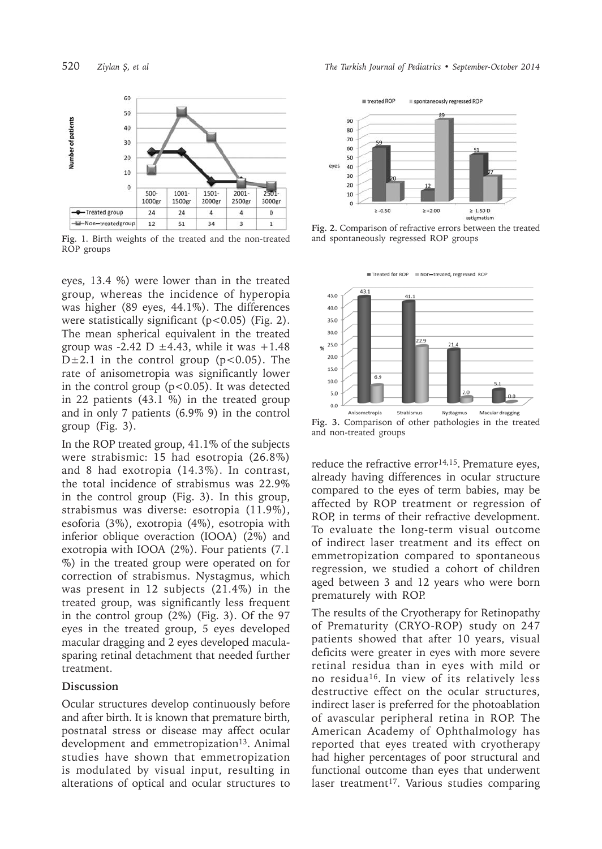

**Fig**. 1. Birth weights of the treated and the non-treated ROP groups

eyes, 13.4 %) were lower than in the treated group, whereas the incidence of hyperopia was higher (89 eyes, 44.1%). The differences were statistically significant (p<0.05) (Fig. 2). The mean spherical equivalent in the treated group was  $-2.42$  D  $\pm 4.43$ , while it was  $+1.48$ D $\pm$ 2.1 in the control group (p<0.05). The rate of anisometropia was significantly lower in the control group ( $p < 0.05$ ). It was detected in 22 patients (43.1 %) in the treated group and in only 7 patients (6.9% 9) in the control group (Fig. 3).

In the ROP treated group, 41.1% of the subjects were strabismic: 15 had esotropia (26.8%) and 8 had exotropia (14.3%). In contrast, the total incidence of strabismus was 22.9% in the control group (Fig. 3). In this group, strabismus was diverse: esotropia (11.9%), esoforia (3%), exotropia (4%), esotropia with inferior oblique overaction (IOOA) (2%) and exotropia with IOOA (2%). Four patients (7.1 %) in the treated group were operated on for correction of strabismus. Nystagmus, which was present in 12 subjects (21.4%) in the treated group, was significantly less frequent in the control group (2%) (Fig. 3). Of the 97 eyes in the treated group, 5 eyes developed macular dragging and 2 eyes developed maculasparing retinal detachment that needed further treatment.

#### **Discussion**

Ocular structures develop continuously before and after birth. It is known that premature birth, postnatal stress or disease may affect ocular development and emmetropization<sup>13</sup>. Animal studies have shown that emmetropization is modulated by visual input, resulting in alterations of optical and ocular structures to



**Fig. 2.** Comparison of refractive errors between the treated and spontaneously regressed ROP groups



**Fig. 3.** Comparison of other pathologies in the treated and non-treated groups

reduce the refractive error $14,15$ . Premature eyes, already having differences in ocular structure compared to the eyes of term babies, may be affected by ROP treatment or regression of ROP, in terms of their refractive development. To evaluate the long-term visual outcome of indirect laser treatment and its effect on emmetropization compared to spontaneous regression, we studied a cohort of children aged between 3 and 12 years who were born prematurely with ROP.

The results of the Cryotherapy for Retinopathy of Prematurity (CRYO-ROP) study on 247 patients showed that after 10 years, visual deficits were greater in eyes with more severe retinal residua than in eyes with mild or no residua16. In view of its relatively less destructive effect on the ocular structures, indirect laser is preferred for the photoablation of avascular peripheral retina in ROP. The American Academy of Ophthalmology has reported that eyes treated with cryotherapy had higher percentages of poor structural and functional outcome than eyes that underwent laser treatment<sup>17</sup>. Various studies comparing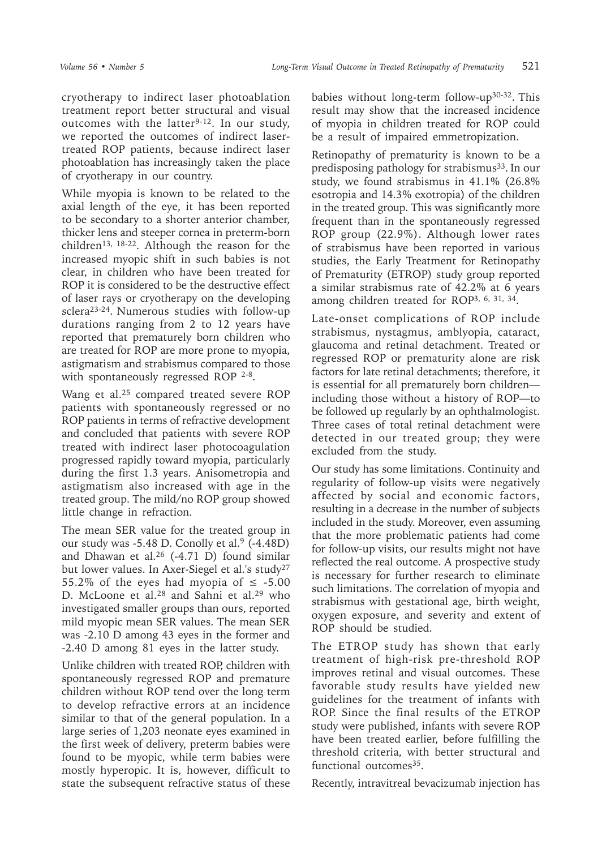cryotherapy to indirect laser photoablation treatment report better structural and visual outcomes with the latter<sup>9-12</sup>. In our study, we reported the outcomes of indirect lasertreated ROP patients, because indirect laser photoablation has increasingly taken the place of cryotherapy in our country.

While myopia is known to be related to the axial length of the eye, it has been reported to be secondary to a shorter anterior chamber, thicker lens and steeper cornea in preterm-born children<sup>13, 18-22</sup>. Although the reason for the increased myopic shift in such babies is not clear, in children who have been treated for ROP it is considered to be the destructive effect of laser rays or cryotherapy on the developing sclera23-24. Numerous studies with follow-up durations ranging from 2 to 12 years have reported that prematurely born children who are treated for ROP are more prone to myopia, astigmatism and strabismus compared to those with spontaneously regressed ROP 2-8.

Wang et al.<sup>25</sup> compared treated severe ROP patients with spontaneously regressed or no ROP patients in terms of refractive development and concluded that patients with severe ROP treated with indirect laser photocoagulation progressed rapidly toward myopia, particularly during the first 1.3 years. Anisometropia and astigmatism also increased with age in the treated group. The mild/no ROP group showed little change in refraction.

The mean SER value for the treated group in our study was -5.48 D. Conolly et al.<sup>9</sup> (-4.48D) and Dhawan et al.<sup>26</sup> (-4.71 D) found similar but lower values. In Axer-Siegel et al.'s study<sup>27</sup> 55.2% of the eyes had myopia of  $\leq$  -5.00 D. McLoone et al.<sup>28</sup> and Sahni et al.<sup>29</sup> who investigated smaller groups than ours, reported mild myopic mean SER values. The mean SER was -2.10 D among 43 eyes in the former and -2.40 D among 81 eyes in the latter study.

Unlike children with treated ROP, children with spontaneously regressed ROP and premature children without ROP tend over the long term to develop refractive errors at an incidence similar to that of the general population. In a large series of 1,203 neonate eyes examined in the first week of delivery, preterm babies were found to be myopic, while term babies were mostly hyperopic. It is, however, difficult to state the subsequent refractive status of these

babies without long-term follow-up30-32. This result may show that the increased incidence of myopia in children treated for ROP could be a result of impaired emmetropization.

Retinopathy of prematurity is known to be a predisposing pathology for strabismus<sup>33</sup>. In our study, we found strabismus in 41.1% (26.8% esotropia and 14.3% exotropia) of the children in the treated group. This was significantly more frequent than in the spontaneously regressed ROP group (22.9%). Although lower rates of strabismus have been reported in various studies, the Early Treatment for Retinopathy of Prematurity (ETROP) study group reported a similar strabismus rate of 42.2% at 6 years among children treated for ROP3, 6, 31, 34.

Late-onset complications of ROP include strabismus, nystagmus, amblyopia, cataract, glaucoma and retinal detachment. Treated or regressed ROP or prematurity alone are risk factors for late retinal detachments; therefore, it is essential for all prematurely born children including those without a history of ROP—to be followed up regularly by an ophthalmologist. Three cases of total retinal detachment were detected in our treated group; they were excluded from the study.

Our study has some limitations. Continuity and regularity of follow-up visits were negatively affected by social and economic factors, resulting in a decrease in the number of subjects included in the study. Moreover, even assuming that the more problematic patients had come for follow-up visits, our results might not have reflected the real outcome. A prospective study is necessary for further research to eliminate such limitations. The correlation of myopia and strabismus with gestational age, birth weight, oxygen exposure, and severity and extent of ROP should be studied.

The ETROP study has shown that early treatment of high-risk pre-threshold ROP improves retinal and visual outcomes. These favorable study results have yielded new guidelines for the treatment of infants with ROP. Since the final results of the ETROP study were published, infants with severe ROP have been treated earlier, before fulfilling the threshold criteria, with better structural and functional outcomes<sup>35</sup>.

Recently, intravitreal bevacizumab injection has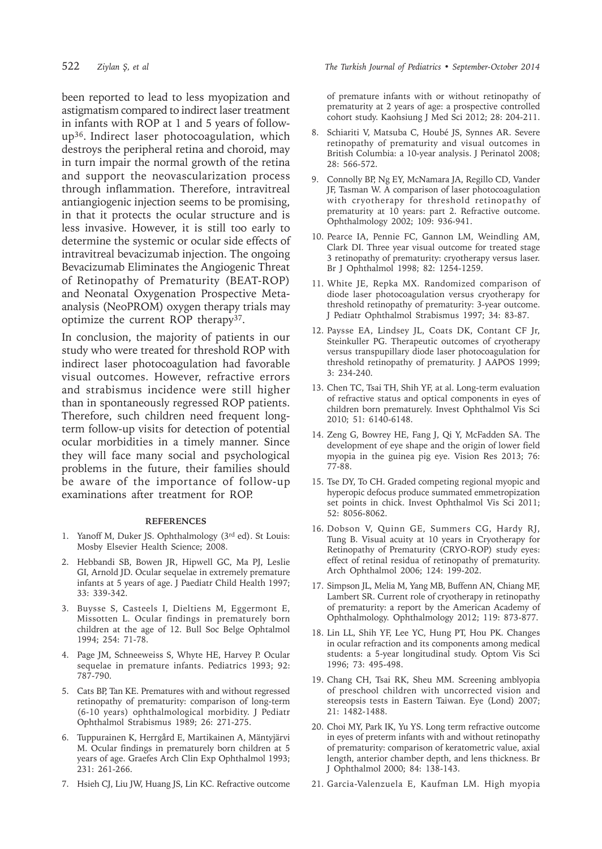been reported to lead to less myopization and astigmatism compared to indirect laser treatment in infants with ROP at 1 and 5 years of followup36. Indirect laser photocoagulation, which destroys the peripheral retina and choroid, may in turn impair the normal growth of the retina and support the neovascularization process through inflammation. Therefore, intravitreal antiangiogenic injection seems to be promising, in that it protects the ocular structure and is less invasive. However, it is still too early to determine the systemic or ocular side effects of intravitreal bevacizumab injection. The ongoing Bevacizumab Eliminates the Angiogenic Threat of Retinopathy of Prematurity (BEAT-ROP) and Neonatal Oxygenation Prospective Metaanalysis (NeoPROM) oxygen therapy trials may optimize the current ROP therapy<sup>37</sup>.

In conclusion, the majority of patients in our study who were treated for threshold ROP with indirect laser photocoagulation had favorable visual outcomes. However, refractive errors and strabismus incidence were still higher than in spontaneously regressed ROP patients. Therefore, such children need frequent longterm follow-up visits for detection of potential ocular morbidities in a timely manner. Since they will face many social and psychological problems in the future, their families should be aware of the importance of follow-up examinations after treatment for ROP.

#### **REFERENCES**

- 1. Yanoff M, Duker JS. Ophthalmology (3rd ed). St Louis: Mosby Elsevier Health Science; 2008.
- 2. Hebbandi SB, Bowen JR, Hipwell GC, Ma PJ, Leslie GI, Arnold JD. Ocular sequelae in extremely premature infants at 5 years of age. J Paediatr Child Health 1997; 33: 339-342.
- 3. Buysse S, Casteels I, Dieltiens M, Eggermont E, Missotten L. Ocular findings in prematurely born children at the age of 12. Bull Soc Belge Ophtalmol 1994; 254: 71-78.
- 4. Page JM, Schneeweiss S, Whyte HE, Harvey P. Ocular sequelae in premature infants. Pediatrics 1993; 92: 787-790.
- 5. Cats BP, Tan KE. Prematures with and without regressed retinopathy of prematurity: comparison of long-term (6-10 years) ophthalmological morbidity. J Pediatr Ophthalmol Strabismus 1989; 26: 271-275.
- 6. Tuppurainen K, Herrgård E, Martikainen A, Mäntyjärvi M. Ocular findings in prematurely born children at 5 years of age. Graefes Arch Clin Exp Ophthalmol 1993; 231: 261-266.
- 7. Hsieh CJ, Liu JW, Huang JS, Lin KC. Refractive outcome

of premature infants with or without retinopathy of prematurity at 2 years of age: a prospective controlled cohort study. Kaohsiung J Med Sci 2012; 28: 204-211.

- 8. Schiariti V, Matsuba C, Houbé JS, Synnes AR. Severe retinopathy of prematurity and visual outcomes in British Columbia: a 10-year analysis. J Perinatol 2008; 28: 566-572.
- 9. Connolly BP, Ng EY, McNamara JA, Regillo CD, Vander JF, Tasman W. A comparison of laser photocoagulation with cryotherapy for threshold retinopathy of prematurity at 10 years: part 2. Refractive outcome. Ophthalmology 2002; 109: 936-941.
- 10. Pearce IA, Pennie FC, Gannon LM, Weindling AM, Clark DI. Three year visual outcome for treated stage 3 retinopathy of prematurity: cryotherapy versus laser. Br J Ophthalmol 1998; 82: 1254-1259.
- 11. White JE, Repka MX. Randomized comparison of diode laser photocoagulation versus cryotherapy for threshold retinopathy of prematurity: 3-year outcome. J Pediatr Ophthalmol Strabismus 1997; 34: 83-87.
- 12. Paysse EA, Lindsey JL, Coats DK, Contant CF Jr, Steinkuller PG. Therapeutic outcomes of cryotherapy versus transpupillary diode laser photocoagulation for threshold retinopathy of prematurity. J AAPOS 1999; 3: 234-240.
- 13. Chen TC, Tsai TH, Shih YF, at al. Long-term evaluation of refractive status and optical components in eyes of children born prematurely. Invest Ophthalmol Vis Sci 2010; 51: 6140-6148.
- 14. Zeng G, Bowrey HE, Fang J, Qi Y, McFadden SA. The development of eye shape and the origin of lower field myopia in the guinea pig eye. Vision Res 2013; 76: 77-88.
- 15. Tse DY, To CH. Graded competing regional myopic and hyperopic defocus produce summated emmetropization set points in chick. Invest Ophthalmol Vis Sci 2011; 52: 8056-8062.
- 16. Dobson V, Quinn GE, Summers CG, Hardy RJ, Tung B. Visual acuity at 10 years in Cryotherapy for Retinopathy of Prematurity (CRYO-ROP) study eyes: effect of retinal residua of retinopathy of prematurity. Arch Ophthalmol 2006; 124: 199-202.
- 17. Simpson JL, Melia M, Yang MB, Buffenn AN, Chiang MF, Lambert SR. Current role of cryotherapy in retinopathy of prematurity: a report by the American Academy of Ophthalmology. Ophthalmology 2012; 119: 873-877.
- 18. Lin LL, Shih YF, Lee YC, Hung PT, Hou PK. Changes in ocular refraction and its components among medical students: a 5-year longitudinal study. Optom Vis Sci 1996; 73: 495-498.
- 19. Chang CH, Tsai RK, Sheu MM. Screening amblyopia of preschool children with uncorrected vision and stereopsis tests in Eastern Taiwan. Eye (Lond) 2007; 21: 1482-1488.
- 20. Choi MY, Park IK, Yu YS. Long term refractive outcome in eyes of preterm infants with and without retinopathy of prematurity: comparison of keratometric value, axial length, anterior chamber depth, and lens thickness. Br J Ophthalmol 2000; 84: 138-143.
- 21. Garcia-Valenzuela E, Kaufman LM. High myopia